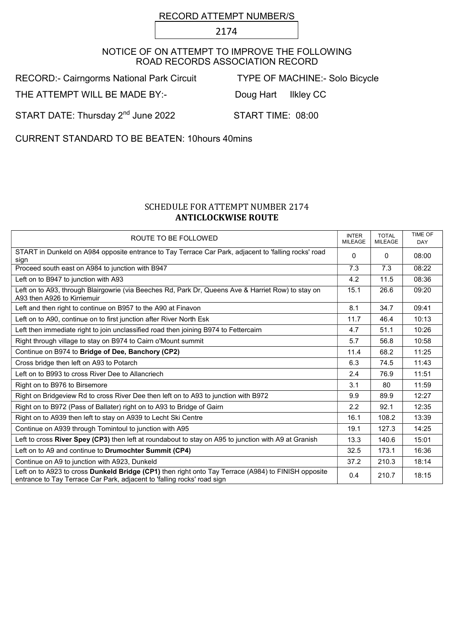## RECORD ATTEMPT NUMBER/S

2174

## NOTICE OF ON ATTEMPT TO IMPROVE THE FOLLOWING ROAD RECORDS ASSOCIATION RECORD

RECORD:- Cairngorms National Park Circuit TYPE OF MACHINE:- Solo Bicycle

THE ATTEMPT WILL BE MADE BY:- Doug Hart Ilkley CC

START DATE: Thursday 2<sup>nd</sup> June 2022 START TIME: 08:00

CURRENT STANDARD TO BE BEATEN: 10hours 40mins

## SCHEDULE FOR ATTEMPT NUMBER 2174 ANTICLOCKWISE ROUTE

| ROUTE TO BE FOLLOWED                                                                                                                                                           | <b>INTER</b><br><b>MILEAGE</b> | <b>TOTAL</b><br><b>MILEAGE</b> | <b>TIME OF</b><br><b>DAY</b> |
|--------------------------------------------------------------------------------------------------------------------------------------------------------------------------------|--------------------------------|--------------------------------|------------------------------|
| START in Dunkeld on A984 opposite entrance to Tay Terrace Car Park, adjacent to 'falling rocks' road<br>sign                                                                   | 0                              | 0                              | 08:00                        |
| Proceed south east on A984 to junction with B947                                                                                                                               | 7.3                            | 7.3                            | 08:22                        |
| Left on to B947 to junction with A93                                                                                                                                           | 4.2                            | 11.5                           | 08:36                        |
| Left on to A93, through Blairgowrie (via Beeches Rd, Park Dr, Queens Ave & Harriet Row) to stay on<br>A93 then A926 to Kirriemuir                                              | 15.1                           | 26.6                           | 09:20                        |
| Left and then right to continue on B957 to the A90 at Finavon                                                                                                                  | 8.1                            | 34.7                           | 09:41                        |
| Left on to A90, continue on to first junction after River North Esk                                                                                                            | 11.7                           | 46.4                           | 10:13                        |
| Left then immediate right to join unclassified road then joining B974 to Fettercairn                                                                                           | 4.7                            | 51.1                           | 10:26                        |
| Right through village to stay on B974 to Cairn o'Mount summit                                                                                                                  | 5.7                            | 56.8                           | 10:58                        |
| Continue on B974 to Bridge of Dee, Banchory (CP2)                                                                                                                              | 11.4                           | 68.2                           | 11:25                        |
| Cross bridge then left on A93 to Potarch                                                                                                                                       | 6.3                            | 74.5                           | 11:43                        |
| Left on to B993 to cross River Dee to Allancriech                                                                                                                              | 2.4                            | 76.9                           | 11:51                        |
| Right on to B976 to Birsemore                                                                                                                                                  | 3.1                            | 80                             | 11:59                        |
| Right on Bridgeview Rd to cross River Dee then left on to A93 to junction with B972                                                                                            | 9.9                            | 89.9                           | 12:27                        |
| Right on to B972 (Pass of Ballater) right on to A93 to Bridge of Gairn                                                                                                         | $2.2\phantom{0}$               | 92.1                           | 12:35                        |
| Right on to A939 then left to stay on A939 to Lecht Ski Centre                                                                                                                 | 16.1                           | 108.2                          | 13:39                        |
| Continue on A939 through Tomintoul to junction with A95                                                                                                                        | 19.1                           | 127.3                          | 14:25                        |
| Left to cross River Spey (CP3) then left at roundabout to stay on A95 to junction with A9 at Granish                                                                           | 13.3                           | 140.6                          | 15:01                        |
| Left on to A9 and continue to Drumochter Summit (CP4)                                                                                                                          | 32.5                           | 173.1                          | 16:36                        |
| Continue on A9 to junction with A923, Dunkeld                                                                                                                                  | 37.2                           | 210.3                          | 18:14                        |
| Left on to A923 to cross Dunkeld Bridge (CP1) then right onto Tay Terrace (A984) to FINISH opposite<br>entrance to Tay Terrace Car Park, adjacent to 'falling rocks' road sign | 0.4                            | 210.7                          | 18:15                        |